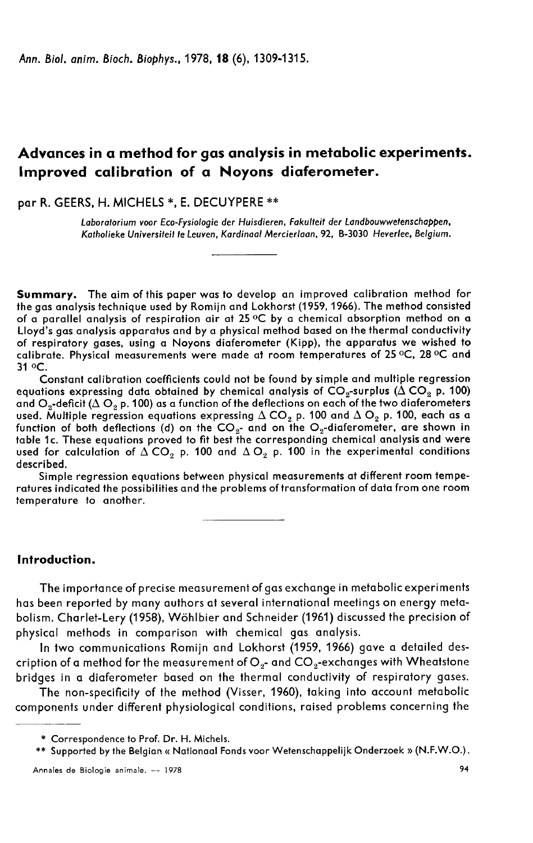# Advances in a method for gas analysis in metabolic experiments. Improved calibration of a Noyons diaferometer.

par R. GEERS, H. MICHELS \*, E. DECUYPERE \*\*

Laboratorium voor Eco-Fysiologie der Huisdieren, Fakulteit der Landbouwwetenschappen, Kotholieke Universiteif te Leuven, Kordineat Mercierlaan, 92, B-3030 Heverlee, Belgium.

Summary. The aim of this paper was to develop an improved calibration method for the gas analysis technique used by Romijn and Lokhorst (1959, 1966). The method consisted of a parallel analysis of respiration air at 25  $\mathrm{^{\circ}C}$  by a chemical absorption method on a Lloyd's gas analysis apparatus and by a physical method based on the thermal conductivity of respiratory gases, using a Noyons diaferometer (Kipp), the apparatus we wished to of a parallel analysis of respiration air at 25 °C by a chemical absorption method on a<br>Lloyd's gas analysis apparatus and by a physical method based on the thermal conductivity<br>of respiratory gases, using a Noyons diafer

calibrate. Physical measurements were made at room temperatures of 25 °C, 28 °C and<br>31 °C.<br>Constant calibration coefficients could not be found by simple and multiple regression<br>equations expressing data obtained by chemi Constant calibration coefficients could not be found by simple and multiple regression equations expressing data obtained by chemical analysis of  $CO_2$ -surplus ( $\Delta$  CO<sub>2</sub> p. 100) and O<sub>2</sub>-deficit ( $\Delta$  O<sub>2</sub> p. 100) as a function of the deflections on each of the two diaferometers used. Multiple regression equations expressing  $\Delta$  CO<sub>2</sub> p. 100 and  $\Delta$  O<sub>2</sub> p. 100, each as a Example 12. They d's gas analysis opparatus and by a physical method based on the thermal conductivity<br>of respiratory gases, using a Noyons diaferometer (Kipp), the apparatus we wished to<br>calibrate. Physical measurements table 1c. These equations proved to fit best the corresponding chemical analysis and were used for calculation of  $\Delta$  CO<sub>2</sub> p. 100 and  $\Delta$ O<sub>2</sub> p. 100 in the experimental conditions and  $O_2$ -deficit ( $\Delta O_2$  p. 100) as a function of the deflections on each of the two diaferometers<br>used. Multiple regression equations expressing  $\Delta CO_2$  p. 100 and  $\Delta O_2$  p. 100, each as a<br>function of both deflections described.<br>Simple regression equations between physical measurements at different room tempe-

ratures indicated the possibilities and the problems of transformation of data from one room temperature to another.

#### Introduction.

The importance of precise measurement of gas exchange in metabolic experiments has been reported by many authors at several international meetings on energy metabolism. Charlet-Lery (1958), Wohlbier and Schneider (1961) discussed the precision of physical methods in comparison with chemical gas analysis. The importance of precise measurement of gas exchange in metabolic experiments<br>has been reported by many authors at several international meetings on energy meta-<br>bolism. Charlet-Lery (1958), Wöhlbier and Schneider (1961)

In two communications Romijn and Lokhorst (1959, 1966) gave a detailed description of a method for the measurement of  $O_{2}$ - and  $CO_{2}$ -exchanges with Wheatstone bridges in a diaferometer based on the thermal conductivity of respiratory gases. the two communications Romijn and<br>the two communications Romijn and<br>the non-specificity of the measurement<br>The non-specificity of the method (<br>oonents under different physiologica<br>\* Supported by the Belgian « Nationaal Fo<br>

The non-specificity of the method (Visser, 1960), taking into account metabolic components under different physiological conditions, raised problems concerning the

<sup>\*\*</sup> Supported by the Belgian « Nationaal Fonds voor Wetenschappelijk Onderzoek » (N.F.W.O.).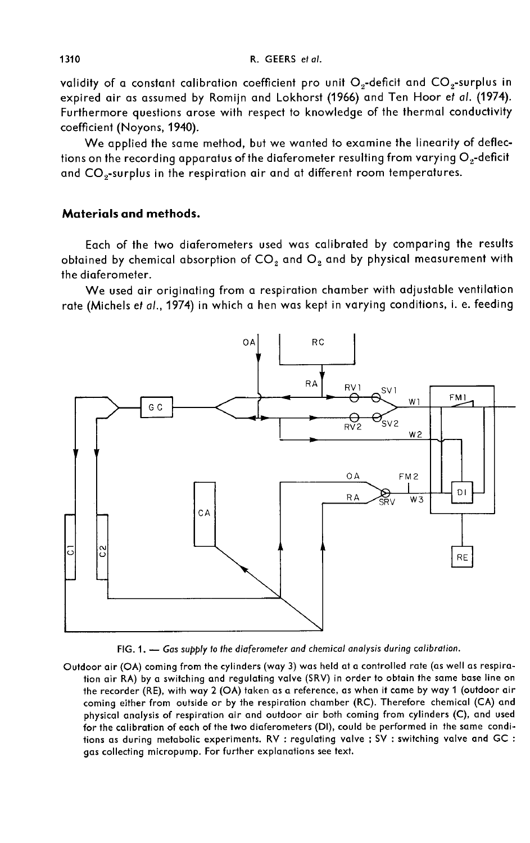1310<br>
R. GEERS *et al.*<br>
Validity of a constant calibration coefficient pro unit O<sub>2</sub>-deficit and CO<sub>2</sub>-surplus in<br>
expired air as assumed by Romijn and Lokhorst (1966) and Ten Hoor et *al.* (1974). coefficient (Noyons, 1940).

expired air as assumed by Romijn and Lokhorst (1966) and Ten Hoor et al. (1974).<br>Furthermore questions arose with respect to knowledge of the thermal conductivity<br>coefficient (Noyons, 1940).<br>We applied the same method, bu We applied the same method, but we wanted to examine the linearity of deflections on the recording apparatus of the diaferometer resulting from varying  $O_3$ -deficit

# Materials and methods.

Each of the two diaferometers used was calibrated by comparing the results obtained by chemical absorption of  $CO<sub>2</sub>$  and  $O<sub>2</sub>$  and by physical measurement with the diaferometer.

We used air originating from a respiration chamber with adjustable ventilation rate (Michels et al., 1974) in which a hen was kept in varying conditions, i. e. feeding



FIG. 1. - Gas supply to the diaferometer and chemical analysis during calibration.

Outdoor air (OA) coming from the cylinders (way 3) was held at a controlled rate (as well as respiration air RA) by a switching and regulating valve (SRV) in order to obtain the same base line on the recorder (RE), with way 2 (OA) taken as a reference, as when it came by way 1 (outdoor air coming either from outside or by the respiration chamber (RC). Therefore chemical (CA) and physical analysis of respiration air and outdoor air both coming from cylinders (C), and used for the calibration of each of the two diaferometers (DI), could be performed in the same conditions as during metabolic experiments. RV : regulating valve ; SV : switching valve and GC : gas collecting micropump. For further explanations see text.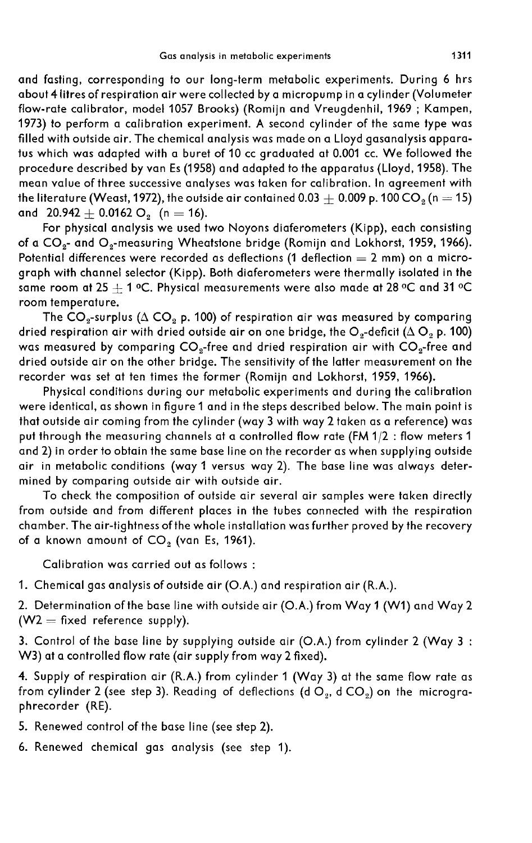and fasting, corresponding to our long-term metabolic experiments. During 6 hrs about 4 litres of respiration air were collected by a micropump in a cylinder (Volumeter flow-rate calibrator, model 1057 Brooks) (Romijn and Vreugdenhil, 1969 ; Kampen, 1973) to perform a calibration experiment. A second cylinder of the same type was filled with outside air. The chemical analysis was made on a Lloyd gasanalysis apparatus which was adapted with a buret of 10 cc graduated at 0.001 cc. We followed the procedure described by van Es (1958) and adapted to the apparatus (Lloyd, 1958). The mean value of three successive analyses was taken for calibration. In agreement with the literature (Weast, 1972), the outside air contained 0.03  $\pm$  0.009 p. 100 CO<sub>2</sub> (n = 15) and  $20.942 + 0.0162$  O<sub>2</sub> (n = 16).

For physical analysis we used two Noyons diaferometers (Kipp), each consisting of a  $CO_2$ - and  $O_2$ -measuring Wheatstone bridge (Romijn and Lokhorst, 1959, 1966). Potential differences were recorded as deflections (1 deflection = 2 mm) on a micrograph with channel selector (Kipp). Both diaferometers were thermally isolated in the same room at 25  $+$  1 °C. Physical measurements were also made at 28 °C and 31 °C room temperature.<br>The CO<sub>2</sub>-surplus ( $\Delta$  CO<sub>2</sub> p. 100) of respiration air was measured by comparing  $CO_2$ - and  $O_2$ -measuring Wheatstone bridge (Romijn and Lokhorst, 1959, 1966).<br>
Initial differences were recorded as deflections (1 deflection = 2 mm) on a micro-<br>
In with channel selector (Kipp). Both diaferometers were

dried respiration air with dried outside air on one bridge, the O<sub>2</sub>-deficit ( $\Delta$ O<sub>2</sub> p. 100) was measured by comparing CO<sub>2</sub>-free and dried respiration air with CO<sub>2</sub>-free and dried outside air on the other bridge. The sensitivity of the latter measurement on the recorder was set at ten times the former (Romijn and Lokhorst, 1959, 1966).

Physical conditions during our metabolic experiments and during the calibration were identical, as shown in figure 1 and in the steps described below. The main point is that outside air coming from the cylinder (way 3 with way 2 taken as a reference) was put through the measuring channels at a controlled flow rate (FM 1/2 : flow meters 1 and 2) in order to obtain the same base line on the recorder as when supplying outside air in metabolic conditions (way 1 versus way 2). The base line was always determined by comparing outside air with outside air.

To check the composition of outside air several air samples were taken directly from outside and from different places in the tubes connected with the respiration chamber. The air-tightness of the whole installation was further proved by the recovery<br>of a known amount of CO<sub>2</sub> (van Es, 1961).

Calibration was carried out as follows :

1. Chemical gas analysis of outside air (O.A.) and respiration air (R.A.).

2. Determination of the base line with outside air (O.A.) from Way 1 (W1) and Way 2  $(W2 = fixed$  reference supply).

3. Control of the base line by supplying outside air (O.A.) from cylinder 2 (Way 3 : W3) at a controlled flow rate (air supply from way 2 fixed).

4. Supply of respiration air (R.A.) from cylinder 1 (Way 3) at the same flow rate as<br>from cylinder 2 (see step 3). Reading of deflections (d O<sub>2</sub>, d CO<sub>2</sub>) on the microgra-<br>phrecorder (RF) phrecorder (RE).

5. Renewed control of the base line (see step 2).

6. Renewed chemical gas analysis (see step 1).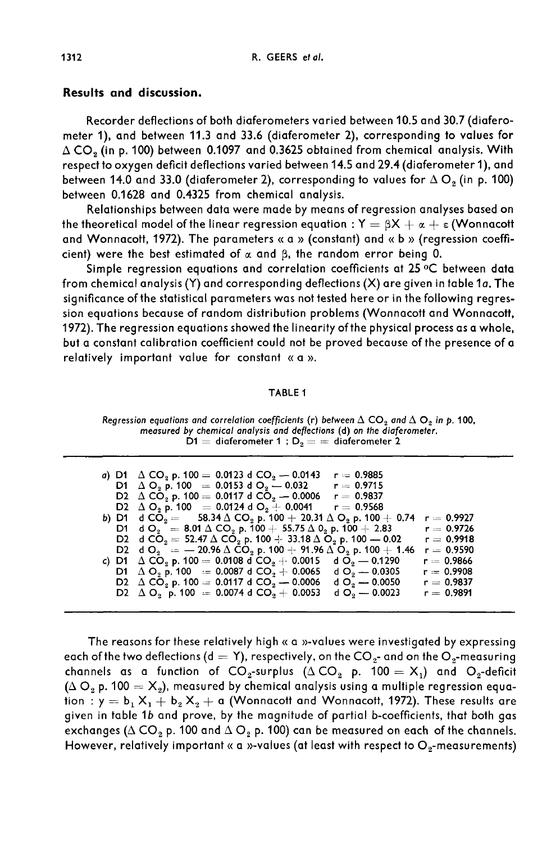#### Results and discussion.

Recorder deflections of both diaferometers varied between 10.5 and 30.7 (diaferometer 1), and between 11.3 and 33.6 (diaferometer 2), corresponding to values for  $\Delta$  CO<sub>2</sub> (in p. 100) between 0.1097 and 0.3625 obtained from chemical analysis. With respect to oxygen deficit deflections varied between 14.5 and 29.4 (diaferometer 1), and between 14.0 and 33.0 (diaferometer 2), corresponding to values for  $\Delta$  O<sub>2</sub> (in p. 100) between 0.1628 and 0.4325 from chemical analysis.

Relationships between data were made by means of regression analyses based on the theoretical model of the linear regression equation :  $Y = \beta X + \alpha + \epsilon$  (Wonnacott and Wonnacott, 1972). The parameters « a » (constant) and « b » (regression coefficient) were the best estimated of  $\alpha$  and  $\beta$ , the random error being 0.

Simple regression equations and correlation coefficients at 25 °C between data from chemical analysis (Y) and corresponding deflections  $(X)$  are given in table 1a. The significance of the statistical parameters was not tested here or in the following regression equations because of random distribution problems (Wonnacott and Wonnacott, 1972). The regression equations showed the linearity of the physical process as a whole, but a constant calibration coefficient could not be proved because of the presence of a relatively important value for constant « a ».

### TABLE 1

| Regression equations and correlation coefficients (r) between $\Delta$ CO <sub>2</sub> and $\Delta$ O <sub>2</sub> in p. 100, |
|-------------------------------------------------------------------------------------------------------------------------------|
| measured by chemical analysis and deflections (d) on the diaferometer.                                                        |
| $D1 =$ diaferometer 1; $D2 =$ diaferometer 2                                                                                  |

The reasons for these relatively high « a »-values were investigated by expressing each of the two deflections (d  $=$  Y), respectively, on the CO<sub>2</sub>- and on the O<sub>3</sub>-measuring channels as a function of  $CO_2$ -surplus ( $\Delta CO_2$  p. 100 =  $X_1$ ) and  $O_2$ -deficit  $(\Delta O_2$  p. 100 =  $X_2$ ), measured by chemical analysis using a multiple regression equation :  $y = b_1 X_1 + b_2 X_2 + a$  (Wonnacott and Wonnacott, 1972). These results are given in table 16 and prove, by the magnitude of partial b-coefficients, that both gas exchanges ( $\Delta$  CO<sub>2</sub> p. 100 and  $\Delta$  O<sub>2</sub> p. 100) can be measured on each of the channels. However, relatively important « a »-values (at least with respect to  $O_{9}$ -measurements)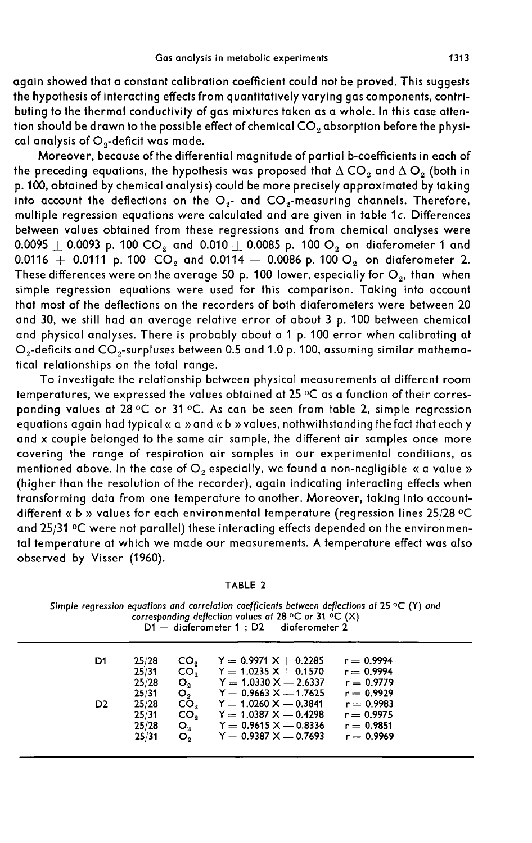again showed that a constant calibration coefficient could not be proved. This suggests the hypothesis of interacting effects from quantitatively varying gas components, contributing to the thermal conductivity of gas mixtures taken as a whole. In this case attenbuting to the thermal conductivity of gas mixtures taken as a whole. In this case attention should be drawn to the possible effect of chemical  $CO_2$  absorption before the physi-<br>cal anglysis of  $O_2$  deficit was made. Equal and the hypothesis of interacting effects fibuting to the thermal conductivity of tion should be drawn to the possible cal analysis of  $O_2$ -deficit was made.<br>Moreover, because of the differ

Moreover, because of the differential magnitude of partial b-coefficients in each of the preceding equations, the hypothesis was proposed that  $\Delta$  CO<sub>2</sub> and  $\Delta$  O<sub>2</sub> (both in p. 100, obtained by chemical analysis) could be more precisely approximated by taking interm account the thermal conductivity of gas mixtures taken as a whole. In this case atten-<br>tion should be drawn to the possible effect of chemical  $CO_2$  absorption before the physi-<br>cal analysis of  $O_2$ -deficit was ma multiple regression equations were calculated and are given in table 1c. Differences between values obtained from these regressions and from chemical analyses were 0.0095  $\pm$  0.0093 p. 100 CO<sub>2</sub> and 0.010  $\pm$  0.0085 p. 100 O<sub>2</sub> on diaferometer 1 and 0.0116  $\pm$  0.0111 p. 100 CO<sub>2</sub> and 0.0114  $\pm$  0.0086 p. 100 O<sub>2</sub> on diaferometer 2. 0.0116  $\pm$  0.0111 p. 100 CO<sub>2</sub> and 0.0114  $\pm$  0.0086 p. 100 O<sub>2</sub> on diaferometer 2.<br>These differences were on the average 50 p. 100 lower, especially for O<sub>2</sub>, than when<br>simple regression equations were used for this co simple regression equations were used for this comparison. Taking into account that most of the deflections on the recorders of both diaferometers were between 20 and 30, we still had an average relative error of about 3 p. 100 between chemical and physical analyses. There is probably about a 1 p. 100 error when calibrating at  $O<sub>9</sub>$ -deficits and  $CO<sub>9</sub>$ -surpluses between 0.5 and 1.0 p. 100, assuming similar mathematical relationships on the total range.

To investigate the relationship between physical measurements at different room temperatures, we expressed the values obtained at 25 °C as a function of their corresponding values at 28 °C or 31 °C. As can be seen from table 2, simple regression equations again had typical « a » and « b » values, nothwithstanding the fact that each y and x couple belonged to the same air sample, the different air samples once more covering the range of respiration air samples in our experimental conditions, as mentioned above. In the case of 0, especially, we found a non-negligible « a value » (higher than the resolution of the recorder), again indicating interacting effects when transforming data from one temperature to another. Moreover, taking into accountdifferent « b » values for each environmental temperature (regression lines 25/28 °C and 25/31 °C were not parallel) these interacting effects depended on the environmental temperature at which we made our measurements. A temperature effect was also observed by Visser (1960).

TABLE 2

| Simple regression equations and correlation coefficients between deflections at 25 $\mathrm{^{\circ}C}$ (Y) and |
|-----------------------------------------------------------------------------------------------------------------|
| corresponding deflection values at 28 $\mathrm{^oC}$ or 31 $\mathrm{^oC}$ (X)                                   |
| $D1 =$ diaferometer 1 ; D2 $=$ diaferometer 2                                                                   |

| D1<br>D <sub>2</sub> | 25/28<br>25/31<br>25/28<br>25/31<br>25/28<br>25/31<br>25/28 | CO <sub>2</sub><br>CO <sub>2</sub><br>$\mathbf{O}_{2}$<br>$O_{2}$<br>CO <sub>2</sub><br>CO <sub>2</sub><br>$O_{2}$ | $Y = 0.9971 X + 0.2285$<br>$Y = 1.0235 X + 0.1570$<br>$Y = 1.0330 X - 2.6337$<br>$Y = 0.9663 X - 1.7625$<br>$Y = 1.0260 X - 0.3841$<br>$Y = 1.0387 X - 0.4298$<br>$Y = 0.9615 X - 0.8336$ | $r = 0.9994$<br>$r = 0.9994$<br>$r = 0.9779$<br>$r = 0.9929$<br>$r = 0.9983$<br>$r = 0.9975$<br>$r = 0.9851$ |
|----------------------|-------------------------------------------------------------|--------------------------------------------------------------------------------------------------------------------|-------------------------------------------------------------------------------------------------------------------------------------------------------------------------------------------|--------------------------------------------------------------------------------------------------------------|
|                      | 25/31                                                       | O <sub>2</sub>                                                                                                     | $Y = 0.9387 X - 0.7693$                                                                                                                                                                   | $r = 0.9969$                                                                                                 |
|                      |                                                             |                                                                                                                    |                                                                                                                                                                                           |                                                                                                              |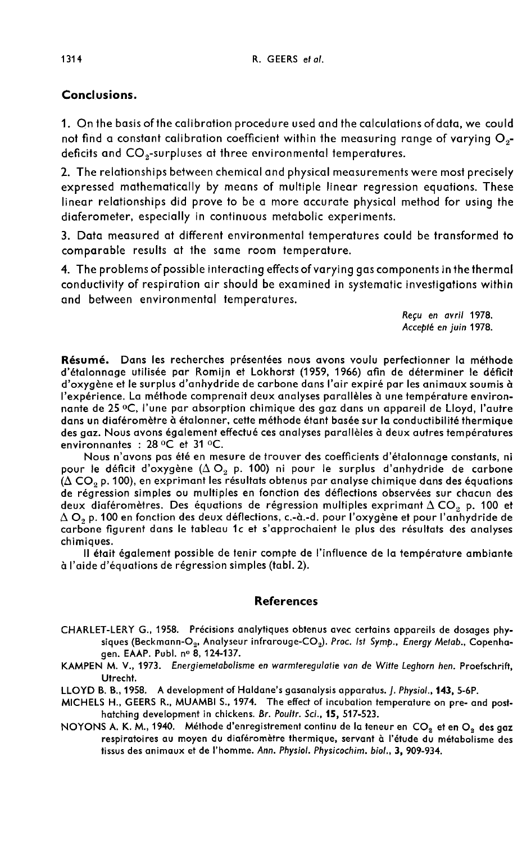# Conclusions.

1. On the basis of the calibration procedure used and the calculations of data, we could not find a constant calibration coefficient within the measuring range of varying  $O<sub>2</sub>$ deficits and CO,-surpluses at three environmental temperatures.

2. The relationships between chemical and physical measurements were most precisely expressed mathematically by means of multiple linear regression equations. These linear relationships did prove to be a more accurate physical method for using the diaferometer, especially in continuous metabolic experiments.

3. Data measured at different environmental temperatures could be transformed to comparable results at the same room temperature.

4. The problems of possible interacting effects of varying gas components in the thermal conductivity of respiration air should be examined in systematic investigations within and between environmental temperatures.

> Reçu en avril 1978. Accepté en juin 1978.

Résumé. Dans les recherches présentées nous avons voulu perfectionner la méthode d'étalonnage utilisée par Romijn et Lokhorst (1959, 1966) afin de déterminer le déficit d'oxygène et le surplus d'anhydride de carbone dans l'air expiré par les animaux soumis à l'expérience. La méthode comprenait deux analyses parallèles à une température environnante de 25 °C, l'une par absorption chimique des gaz dans un appareil de Lloyd, l'autre dans un diaféromètre à étalonner, cette méthode étant basée sur la conductibilité thermique des gaz. Nous avons également effectué ces analyses parallèles à deux autres températures environnantes : 28 °C et 31 °C.

Nous n'avons pas été en mesure de trouver des coefficients d'étalonnage constants, ni environnantes : 28 °C et 31 °C.<br>
Nous n'avons pas été en mesure de trouver des coefficients d'étalonnage constants, ni<br>
pour le déficit d'oxygène ( $\Delta$ O<sub>2</sub> p. 100) ni pour le surplus d'anhydride de carbone<br>
( $\Delta$ CO<sub>2</sub> p. de régression simples ou multiples en fonction des déflections observées sur chacun des<br>deux diaféromètres. Des équations de régression multiples exprimant  $\Delta$  CO<sub>2</sub> p. 100 et<br> $\Delta$  C p. 100 en fonction des deux déflection deux diaféromètres. Des équations de régression multiples exprimant  $\Delta$  CO<sub>2</sub> p. 100 et<br> $\Delta$  O<sub>2</sub> p. 100 en fonction des deux déflections, c.-à.-d. pour l'oxygène et pour l'anhydride de carbone figurent dans le tableau 1c et s'approchaient le plus des résultats des analyses chimiques.

Il était également possible de tenir compte de l'influence de la température ambiante à l'aide d'équations de régression simples (tabl. 2).

# References

- CHARLET-LERY G., 1958. Précisions analytiques obtenus avec certains appareils de dosages phy-<br>siques (Beckmann-O<sub>3</sub>, Analyseur infrarouge-CO<sub>2</sub>). Proc. Ist Symp., Energy Metab., Copenhainter de l'influence de la température ambiante<br>d'équations de régression simples (tabl. 2).<br>**References<br>T-LERY** G., 1958. Précisions analytiques obtenus avec certains appareils de dosages phy-<br>siques (Beckmann-O<sub>2</sub>, Analy gen. EAAP. Publ. n° 8, 124-137.
- KAMPEN M. V., 1973. Energiemetabolisme en warmferegulatie van de Witte Leghorn hen. Proefschrift, Utrecht.
- LLOYD B. B., 1958. A development of Haldane's gasanalysis apparatus. J. Physiol., 143, 5-6P.
- MICHELS H., GEERS R., MUAMBI S., 1974. The effect of incubation temperature on pre- and posthatching development in chickens. Br. Poultr. Sci., 15, 517-523.
- NOYONS A. K. M., 1940. Méthode d'enregistrement continu de la teneur en CO<sub>2</sub> et en O<sub>2</sub> des gaz respiratoires au moyen du diaféromètre thermique, servant à l'étude du métabolisme des tissus des animaux et de I'homme. Ann. Physiol. Physicochim. biol., 3, 909-934.